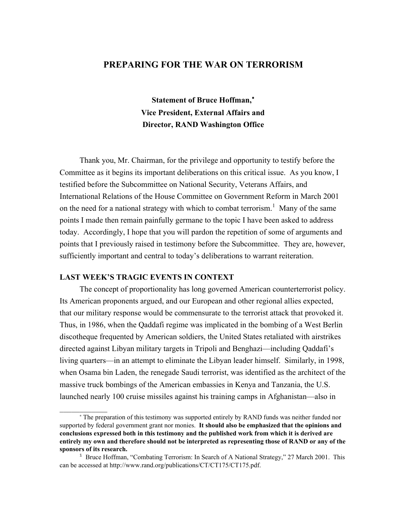# **PREPARING FOR THE WAR ON TERRORISM**

**Statement of Bruce Hoffman,**<sup>∗</sup> **Vice President, External Affairs and Director, RAND Washington Office**

Thank you, Mr. Chairman, for the privilege and opportunity to testify before the Committee as it begins its important deliberations on this critical issue. As you know, I testified before the Subcommittee on National Security, Veterans Affairs, and International Relations of the House Committee on Government Reform in March 2001 on the need for a national strategy with which to combat terrorism.<sup>1</sup> Many of the same points I made then remain painfully germane to the topic I have been asked to address today. Accordingly, I hope that you will pardon the repetition of some of arguments and points that I previously raised in testimony before the Subcommittee. They are, however, sufficiently important and central to today's deliberations to warrant reiteration.

### **LAST WEEK'S TRAGIC EVENTS IN CONTEXT**

\_\_\_\_\_\_\_\_\_\_\_\_

The concept of proportionality has long governed American counterterrorist policy. Its American proponents argued, and our European and other regional allies expected, that our military response would be commensurate to the terrorist attack that provoked it. Thus, in 1986, when the Qaddafi regime was implicated in the bombing of a West Berlin discotheque frequented by American soldiers, the United States retaliated with airstrikes directed against Libyan military targets in Tripoli and Benghazi—including Qaddafi's living quarters—in an attempt to eliminate the Libyan leader himself. Similarly, in 1998, when Osama bin Laden, the renegade Saudi terrorist, was identified as the architect of the massive truck bombings of the American embassies in Kenya and Tanzania, the U.S. launched nearly 100 cruise missiles against his training camps in Afghanistan—also in

<sup>∗</sup> The preparation of this testimony was supported entirely by RAND funds was neither funded nor supported by federal government grant nor monies. **It should also be emphasized that the opinions and conclusions expressed both in this testimony and the published work from which it is derived are entirely my own and therefore should not be interpreted as representing those of RAND or any of the sponsors of its research.**

<sup>&</sup>lt;sup>1</sup> Bruce Hoffman, "Combating Terrorism: In Search of A National Strategy," 27 March 2001. This can be accessed at http://www.rand.org/publications/CT/CT175/CT175.pdf.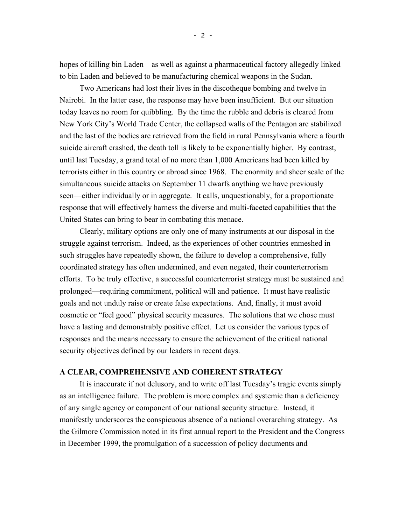hopes of killing bin Laden—as well as against a pharmaceutical factory allegedly linked to bin Laden and believed to be manufacturing chemical weapons in the Sudan.

Two Americans had lost their lives in the discotheque bombing and twelve in Nairobi. In the latter case, the response may have been insufficient. But our situation today leaves no room for quibbling. By the time the rubble and debris is cleared from New York City's World Trade Center, the collapsed walls of the Pentagon are stabilized and the last of the bodies are retrieved from the field in rural Pennsylvania where a fourth suicide aircraft crashed, the death toll is likely to be exponentially higher. By contrast, until last Tuesday, a grand total of no more than 1,000 Americans had been killed by terrorists either in this country or abroad since 1968. The enormity and sheer scale of the simultaneous suicide attacks on September 11 dwarfs anything we have previously seen—either individually or in aggregate. It calls, unquestionably, for a proportionate response that will effectively harness the diverse and multi-faceted capabilities that the United States can bring to bear in combating this menace.

Clearly, military options are only one of many instruments at our disposal in the struggle against terrorism. Indeed, as the experiences of other countries enmeshed in such struggles have repeatedly shown, the failure to develop a comprehensive, fully coordinated strategy has often undermined, and even negated, their counterterrorism efforts. To be truly effective, a successful counterterrorist strategy must be sustained and prolonged—requiring commitment, political will and patience. It must have realistic goals and not unduly raise or create false expectations. And, finally, it must avoid cosmetic or "feel good" physical security measures. The solutions that we chose must have a lasting and demonstrably positive effect. Let us consider the various types of responses and the means necessary to ensure the achievement of the critical national security objectives defined by our leaders in recent days.

# **A CLEAR, COMPREHENSIVE AND COHERENT STRATEGY**

It is inaccurate if not delusory, and to write off last Tuesday's tragic events simply as an intelligence failure. The problem is more complex and systemic than a deficiency of any single agency or component of our national security structure. Instead, it manifestly underscores the conspicuous absence of a national overarching strategy. As the Gilmore Commission noted in its first annual report to the President and the Congress in December 1999, the promulgation of a succession of policy documents and

- 2 -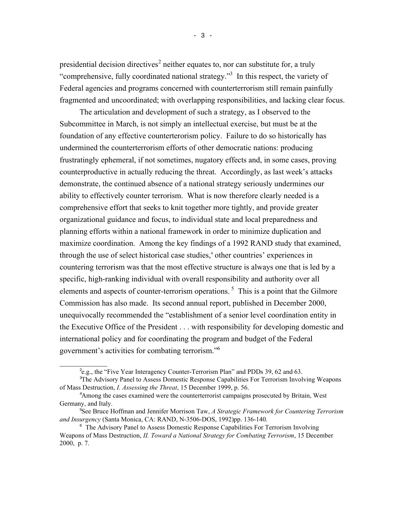presidential decision directives<sup>2</sup> neither equates to, nor can substitute for, a truly "comprehensive, fully coordinated national strategy."3 In this respect, the variety of Federal agencies and programs concerned with counterterrorism still remain painfully fragmented and uncoordinated; with overlapping responsibilities, and lacking clear focus.

The articulation and development of such a strategy, as I observed to the Subcommittee in March, is not simply an intellectual exercise, but must be at the foundation of any effective counterterorism policy. Failure to do so historically has undermined the counterterrorism efforts of other democratic nations: producing frustratingly ephemeral, if not sometimes, nugatory effects and, in some cases, proving counterproductive in actually reducing the threat. Accordingly, as last week's attacks demonstrate, the continued absence of a national strategy seriously undermines our ability to effectively counter terrorism. What is now therefore clearly needed is a comprehensive effort that seeks to knit together more tightly, and provide greater organizational guidance and focus, to individual state and local preparedness and planning efforts within a national framework in order to minimize duplication and maximize coordination. Among the key findings of a 1992 RAND study that examined, through the use of select historical case studies,<sup>4</sup> other countries' experiences in countering terrorism was that the most effective structure is always one that is led by a specific, high-ranking individual with overall responsibility and authority over all elements and aspects of counter-terrorism operations.<sup>5</sup> This is a point that the Gilmore Commission has also made. Its second annual report, published in December 2000, unequivocally recommended the "establishment of a senior level coordination entity in the Executive Office of the President . . . with responsibility for developing domestic and international policy and for coordinating the program and budget of the Federal government's activities for combating terrorism."6

\_\_\_\_\_\_\_\_\_\_\_\_

<sup>&</sup>lt;sup>2</sup>e.g., the "Five Year Interagency Counter-Terrorism Plan" and PDDs 39, 62 and 63.

<sup>3</sup> The Advisory Panel to Assess Domestic Response Capabilities For Terrorism Involving Weapons of Mass Destruction, *I. Assessing the Threat*, 15 December 1999, p. 56.

<sup>&</sup>lt;sup>4</sup> Among the cases examined were the counterterrorist campaigns prosecuted by Britain, West Germany, and Italy.

<sup>5</sup> See Bruce Hoffman and Jennifer Morrison Taw, *A Strategic Framework for Countering Terrorism and Insurgency* (Santa Monica, CA: RAND, N-3506-DOS, 1992)pp. 136-140.

<sup>&</sup>lt;sup>6</sup> The Advisory Panel to Assess Domestic Response Capabilities For Terrorism Involving Weapons of Mass Destruction, *II. Toward a National Strategy for Combating Terrorism*, 15 December 2000, p. 7.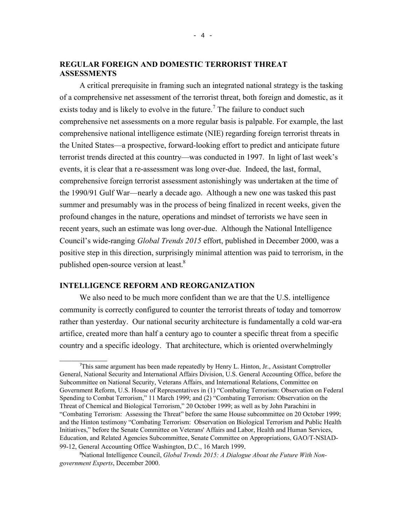## **REGULAR FOREIGN AND DOMESTIC TERRORIST THREAT ASSESSMENTS**

A critical prerequisite in framing such an integrated national strategy is the tasking of a comprehensive net assessment of the terrorist threat, both foreign and domestic, as it exists today and is likely to evolve in the future.<sup>7</sup> The failure to conduct such comprehensive net assessments on a more regular basis is palpable. For example, the last comprehensive national intelligence estimate (NIE) regarding foreign terrorist threats in the United States—a prospective, forward-looking effort to predict and anticipate future terrorist trends directed at this country—was conducted in 1997. In light of last week's events, it is clear that a re-assessment was long over-due. Indeed, the last, formal, comprehensive foreign terrorist assessment astonishingly was undertaken at the time of the 1990/91 Gulf War—nearly a decade ago. Although a new one was tasked this past summer and presumably was in the process of being finalized in recent weeks, given the profound changes in the nature, operations and mindset of terrorists we have seen in recent years, such an estimate was long over-due. Although the National Intelligence Council's wide-ranging *Global Trends 2015* effort, published in December 2000, was a positive step in this direction, surprisingly minimal attention was paid to terrorism, in the published open-source version at least.<sup>8</sup>

#### **INTELLIGENCE REFORM AND REORGANIZATION**

\_\_\_\_\_\_\_\_\_\_\_\_

We also need to be much more confident than we are that the U.S. intelligence community is correctly configured to counter the terrorist threats of today and tomorrow rather than yesterday. Our national security architecture is fundamentally a cold war-era artifice, created more than half a century ago to counter a specific threat from a specific country and a specific ideology. That architecture, which is oriented overwhelmingly

<sup>7</sup> This same argument has been made repeatedly by Henry L. Hinton, Jr., Assistant Comptroller General, National Security and International Affairs Division, U.S. General Accounting Office, before the Subcommittee on National Security, Veterans Affairs, and International Relations, Committee on Government Reform, U.S. House of Representatives in (1) "Combating Terrorism: Observation on Federal Spending to Combat Terrorism," 11 March 1999; and (2) "Combating Terrorism: Observation on the Threat of Chemical and Biological Terrorism," 20 October 1999; as well as by John Parachini in "Combating Terrorism: Assessing the Threat" before the same House subcommittee on 20 October 1999; and the Hinton testimony "Combating Terrorism: Observation on Biological Terrorism and Public Health Initiatives," before the Senate Committee on Veterans' Affairs and Labor, Health and Human Services, Education, and Related Agencies Subcommittee, Senate Committee on Appropriations, GAO/T-NSIAD-99-12, General Accounting Office Washington, D.C., 16 March 1999.

<sup>&</sup>lt;sup>8</sup>National Intelligence Council, *Global Trends 2015: A Dialogue About the Future With Nongovernment Experts*, December 2000.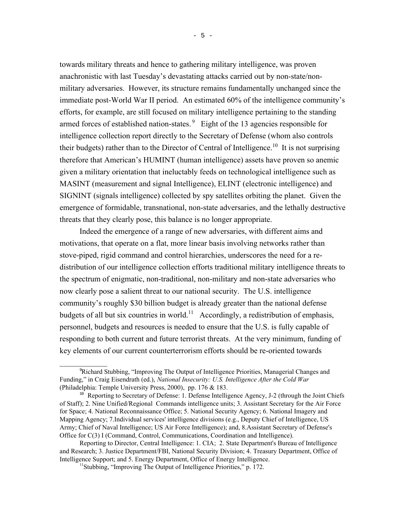towards military threats and hence to gathering military intelligence, was proven anachronistic with last Tuesday's devastating attacks carried out by non-state/nonmilitary adversaries. However, its structure remains fundamentally unchanged since the immediate post-World War II period. An estimated 60% of the intelligence community's efforts, for example, are still focused on military intelligence pertaining to the standing armed forces of established nation-states.<sup>9</sup> Eight of the 13 agencies responsible for intelligence collection report directly to the Secretary of Defense (whom also controls their budgets) rather than to the Director of Central of Intelligence.<sup>10</sup> It is not surprising therefore that American's HUMINT (human intelligence) assets have proven so anemic given a military orientation that ineluctably feeds on technological intelligence such as MASINT (measurement and signal Intelligence), ELINT (electronic intelligence) and SIGNINT (signals intelligence) collected by spy satellites orbiting the planet. Given the emergence of formidable, transnational, non-state adversaries, and the lethally destructive threats that they clearly pose, this balance is no longer appropriate.

Indeed the emergence of a range of new adversaries, with different aims and motivations, that operate on a flat, more linear basis involving networks rather than stove-piped, rigid command and control hierarchies, underscores the need for a redistribution of our intelligence collection efforts traditional military intelligence threats to the spectrum of enigmatic, non-traditional, non-military and non-state adversaries who now clearly pose a salient threat to our national security. The U.S. intelligence community's roughly \$30 billion budget is already greater than the national defense budgets of all but six countries in world.<sup>11</sup> Accordingly, a redistribution of emphasis, personnel, budgets and resources is needed to ensure that the U.S. is fully capable of responding to both current and future terrorist threats. At the very minimum, funding of key elements of our current counterterrorism efforts should be re-oriented towards

\_\_\_\_\_\_\_\_\_\_\_\_

<sup>9</sup> Richard Stubbing, "Improving The Output of Intelligence Priorities, Managerial Changes and Funding," in Craig Eisendrath (ed.), *National Insecurity: U.S. Intelligence After the Cold War* (Philadelphia: Temple University Press, 2000), pp. 176 & 183.

<sup>&</sup>lt;sup>10</sup> Reporting to Secretary of Defense: 1. Defense Intelligence Agency, J-2 (through the Joint Chiefs of Staff); 2. Nine Unified/Regional Commands intelligence units; 3. Assistant Secretary for the Air Force for Space; 4. National Reconnaissance Office; 5. National Security Agency; 6. National Imagery and Mapping Agency; 7.Individual services' intelligence divisions (e.g., Deputy Chief of Intelligence, US Army; Chief of Naval Intelligence; US Air Force Intelligence); and, 8.Assistant Secretary of Defense's Office for C(3) I (Command, Control, Communications, Coordination and Intelligence).

Reporting to Director, Central Intelligence: 1. CIA; 2. State Department's Bureau of Intelligence and Research; 3. Justice Department/FBI, National Security Division; 4. Treasury Department, Office of Intelligence Support; and 5. Energy Department, Office of Energy Intelligence.

<sup>&</sup>lt;sup>11</sup>Stubbing, "Improving The Output of Intelligence Priorities," p. 172.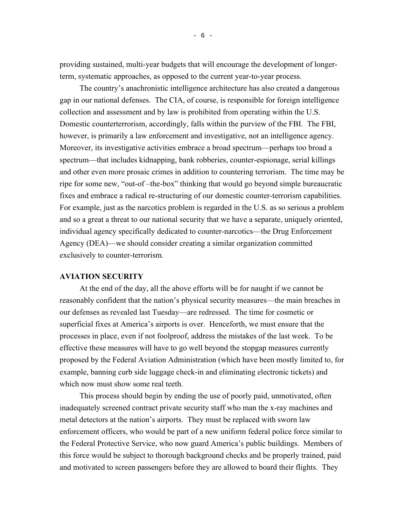providing sustained, multi-year budgets that will encourage the development of longerterm, systematic approaches, as opposed to the current year-to-year process.

The country's anachronistic intelligence architecture has also created a dangerous gap in our national defenses. The CIA, of course, is responsible for foreign intelligence collection and assessment and by law is prohibited from operating within the U.S. Domestic counterterrorism, accordingly, falls within the purview of the FBI. The FBI, however, is primarily a law enforcement and investigative, not an intelligence agency. Moreover, its investigative activities embrace a broad spectrum—perhaps too broad a spectrum—that includes kidnapping, bank robberies, counter-espionage, serial killings and other even more prosaic crimes in addition to countering terrorism. The time may be ripe for some new, "out-of –the-box" thinking that would go beyond simple bureaucratic fixes and embrace a radical re-structuring of our domestic counter-terrorism capabilities. For example, just as the narcotics problem is regarded in the U.S. as so serious a problem and so a great a threat to our national security that we have a separate, uniquely oriented, individual agency specifically dedicated to counter-narcotics—the Drug Enforcement Agency (DEA)—we should consider creating a similar organization committed exclusively to counter-terrorism.

#### **AVIATION SECURITY**

At the end of the day, all the above efforts will be for naught if we cannot be reasonably confident that the nation's physical security measures—the main breaches in our defenses as revealed last Tuesday—are redressed. The time for cosmetic or superficial fixes at America's airports is over. Henceforth, we must ensure that the processes in place, even if not foolproof, address the mistakes of the last week. To be effective these measures will have to go well beyond the stopgap measures currently proposed by the Federal Aviation Administration (which have been mostly limited to, for example, banning curb side luggage check-in and eliminating electronic tickets) and which now must show some real teeth.

This process should begin by ending the use of poorly paid, unmotivated, often inadequately screened contract private security staff who man the x-ray machines and metal detectors at the nation's airports. They must be replaced with sworn law enforcement officers, who would be part of a new uniform federal police force similar to the Federal Protective Service, who now guard America's public buildings. Members of this force would be subject to thorough background checks and be properly trained, paid and motivated to screen passengers before they are allowed to board their flights. They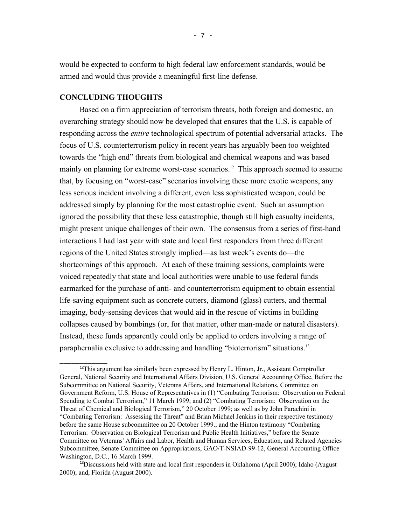would be expected to conform to high federal law enforcement standards, would be armed and would thus provide a meaningful first-line defense.

### **CONCLUDING THOUGHTS**

 $\overline{\phantom{a}}$ 

Based on a firm appreciation of terrorism threats, both foreign and domestic, an overarching strategy should now be developed that ensures that the U.S. is capable of responding across the *entire* technological spectrum of potential adversarial attacks. The focus of U.S. counterterrorism policy in recent years has arguably been too weighted towards the "high end" threats from biological and chemical weapons and was based mainly on planning for extreme worst-case scenarios.<sup>12</sup> This approach seemed to assume that, by focusing on "worst-case" scenarios involving these more exotic weapons, any less serious incident involving a different, even less sophisticated weapon, could be addressed simply by planning for the most catastrophic event. Such an assumption ignored the possibility that these less catastrophic, though still high casualty incidents, might present unique challenges of their own. The consensus from a series of first-hand interactions I had last year with state and local first responders from three different regions of the United States strongly implied—as last week's events do—the shortcomings of this approach. At each of these training sessions, complaints were voiced repeatedly that state and local authorities were unable to use federal funds earmarked for the purchase of anti- and counterterrorism equipment to obtain essential life-saving equipment such as concrete cutters, diamond (glass) cutters, and thermal imaging, body-sensing devices that would aid in the rescue of victims in building collapses caused by bombings (or, for that matter, other man-made or natural disasters). Instead, these funds apparently could only be applied to orders involving a range of paraphernalia exclusive to addressing and handling "bioterrorism" situations.13

<sup>&</sup>lt;sup>12</sup>This argument has similarly been expressed by Henry L. Hinton, Jr., Assistant Comptroller General, National Security and International Affairs Division, U.S. General Accounting Office, Before the Subcommittee on National Security, Veterans Affairs, and International Relations, Committee on Government Reform, U.S. House of Representatives in (1) "Combating Terrorism: Observation on Federal Spending to Combat Terrorism," 11 March 1999; and (2) "Combating Terrorism: Observation on the Threat of Chemical and Biological Terrorism," 20 October 1999; as well as by John Parachini in "Combating Terrorism: Assessing the Threat" and Brian Michael Jenkins in their respective testimony before the same House subcommittee on 20 October 1999.; and the Hinton testimony "Combating Terrorism: Observation on Biological Terrorism and Public Health Initiatives," before the Senate Committee on Veterans' Affairs and Labor, Health and Human Services, Education, and Related Agencies Subcommittee, Senate Committee on Appropriations, GAO/T-NSIAD-99-12, General Accounting Office Washington, D.C., 16 March 1999.

 $13$ Discussions held with state and local first responders in Oklahoma (April 2000); Idaho (August 2000); and, Florida (August 2000).